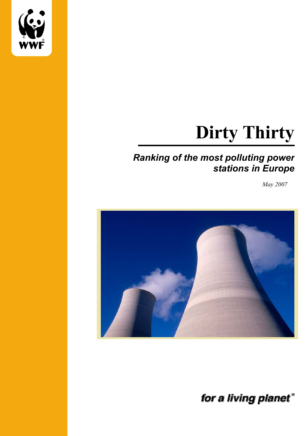

# **Dirty Thirty**

# *Ranking of the most polluting power stations in Europe*

*May 2007*



for a living planet"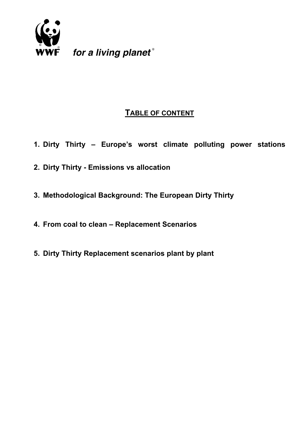

for a living planet®

# **TABLE OF CONTENT**

- **1. Dirty Thirty Europe's worst climate polluting power stations**
- **2. Dirty Thirty Emissions vs allocation**
- **3. Methodological Background: The European Dirty Thirty**
- **4. From coal to clean Replacement Scenarios**
- **5. Dirty Thirty Replacement scenarios plant by plant**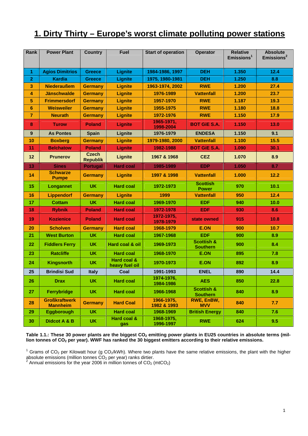# **1. Dirty Thirty – Europe's worst climate polluting power stations**

| Rank           | <b>Power Plant</b>                      | <b>Country</b>                  | <b>Fuel</b>                   | <b>Start of operation</b> | Operator                                 | <b>Relative</b><br>Emissions <sup>1</sup> | <b>Absolute</b><br>Emissions <sup>2</sup> |
|----------------|-----------------------------------------|---------------------------------|-------------------------------|---------------------------|------------------------------------------|-------------------------------------------|-------------------------------------------|
| $\overline{1}$ | <b>Agios Dimitrios</b>                  | <b>Greece</b>                   | <b>Lignite</b>                | 1984-1986, 1997           | <b>DEH</b>                               | 1.350                                     | 12.4                                      |
| $\overline{2}$ | <b>Kardia</b>                           | <b>Greece</b>                   | Lignite                       | 1975, 1980-1981           | <b>DEH</b>                               | 1.250                                     | 8.8                                       |
| 3              | <b>Niederaußem</b>                      | <b>Germany</b>                  | Lignite                       | 1963-1974, 2002           | <b>RWE</b>                               | 1.200                                     | 27.4                                      |
| 4              | <b>Jänschwalde</b>                      | <b>Germany</b>                  | Lignite                       | 1976-1989                 | <b>Vattenfall</b>                        | 1.200                                     | 23.7                                      |
| 5              | <b>Frimmersdorf</b>                     | <b>Germany</b>                  | <b>Lignite</b>                | 1957-1970                 | <b>RWE</b>                               | 1.187                                     | 19.3                                      |
| 6              | <b>Weisweiler</b>                       | <b>Germany</b>                  | <b>Lignite</b>                | 1955-1975                 | <b>RWE</b>                               | 1.180                                     | 18.8                                      |
| $\overline{7}$ | <b>Neurath</b>                          | <b>Germany</b>                  | <b>Lignite</b>                | 1972-1976                 | <b>RWE</b>                               | 1.150                                     | 17.9                                      |
| 8              | <b>Turow</b>                            | <b>Poland</b>                   | Lignite                       | 1965-1971,<br>1998-2004   | <b>BOT GIE S.A.</b>                      | 1.150                                     | 13.0                                      |
| 9              | <b>As Pontes</b>                        | <b>Spain</b>                    | Lignite                       | 1976-1979                 | <b>ENDESA</b>                            | 1.150                                     | 9.1                                       |
| 10             | <b>Boxberg</b>                          | <b>Germany</b>                  | <b>Lignite</b>                | 1979-1980, 2000           | <b>Vattenfall</b>                        | 1.100                                     | 15.5                                      |
| 11             | <b>Belchatow</b>                        | <b>Poland</b>                   | Lignite                       | 1982-1988                 | <b>BOT GIE S.A.</b>                      | 1.090                                     | 30.1                                      |
| 12             | <b>Prunerov</b>                         | <b>Czech</b><br><b>Republik</b> | Lignite                       | 1967 & 1968               | <b>CEZ</b>                               | 1.070                                     | 8.9                                       |
| 13             | <b>Sines</b>                            | <b>Portugal</b>                 | <b>Hard coal</b>              | 1985-1989                 | <b>EDP</b>                               | 1.050                                     | 8.7                                       |
| 14             | <b>Schwarze</b><br><b>Pumpe</b>         | <b>Germany</b>                  | <b>Lignite</b>                | 1997 & 1998               | <b>Vattenfall</b>                        | 1.000                                     | 12.2                                      |
| 15             | Longannet                               | UK.                             | <b>Hard coal</b>              | 1972-1973                 | <b>Scottish</b><br><b>Power</b>          | 970                                       | 10.1                                      |
| 16             | <b>Lippendorf</b>                       | <b>Germany</b>                  | Lignite                       | 1999                      | <b>Vattenfall</b>                        | 950                                       | 12.4                                      |
| 17             | <b>Cottam</b>                           | <b>UK</b>                       | <b>Hard coal</b>              | 1969-1970                 | <b>EDF</b>                               | 940                                       | 10.0                                      |
| 18             | <b>Rybnik</b>                           | <b>Poland</b>                   | <b>Hard coal</b>              | 1972-1978                 | <b>EDF</b>                               | 930                                       | 8.6                                       |
| 19             | <b>Kozienice</b>                        | <b>Poland</b>                   | <b>Hard coal</b>              | 1972-1975,<br>1978-1979   | state owned                              | 915                                       | 10.8                                      |
| 20             | <b>Scholven</b>                         | <b>Germany</b>                  | <b>Hard coal</b>              | 1968-1979                 | <b>E.ON</b>                              | 900                                       | 10.7                                      |
| 21             | <b>West Burton</b>                      | <b>UK</b>                       | <b>Hard coal</b>              | 1967-1968                 | <b>EDF</b>                               | 900                                       | 8.9                                       |
| 22             | <b>Fiddlers Ferry</b>                   | <b>UK</b>                       | Hard coal & oil               | 1969-1973                 | <b>Scottish &amp;</b><br><b>Southern</b> | 900                                       | 8.4                                       |
| 23             | <b>Ratcliffe</b>                        | <b>UK</b>                       | <b>Hard coal</b>              | 1968-1970                 | <b>E.ON</b>                              | 895                                       | 7.8                                       |
| 24             | <b>Kingsnorth</b>                       | <b>UK</b>                       | Hard coal &<br>heavy fuel oil | 1970-1973                 | E.ON                                     | 892                                       | 8.9                                       |
| 25             | <b>Brindisi Sud</b>                     | <b>Italy</b>                    | Coal                          | 1991-1993                 | <b>ENEL</b>                              | 890                                       | 14.4                                      |
| 26             | <b>Drax</b>                             | <b>UK</b>                       | <b>Hard coal</b>              | 1974-1976,<br>1984-1986   | <b>AES</b>                               | 850                                       | 22.8                                      |
| 27             | Ferrybridge                             | <b>UK</b>                       | <b>Hard coal</b>              | 1966-1968                 | <b>Scottish &amp;</b><br><b>Southern</b> | 840                                       | 8.9                                       |
| 28             | <b>Großkraftwerk</b><br><b>Mannheim</b> | <b>Germany</b>                  | <b>Hard Coal</b>              | 1966-1975,<br>1982 & 1993 | RWE, EnBW,<br><b>MVV</b>                 | 840                                       | 7.7                                       |
| 29             | <b>Eggborough</b>                       | <b>UK</b>                       | <b>Hard coal</b>              | 1968-1969                 | <b>British Energy</b>                    | 840                                       | 7.6                                       |
| 30             | <b>Didcot A &amp; B</b>                 | <b>UK</b>                       | Hard coal &<br>gas            | 1968-1975,<br>1996-1997   | <b>RWE</b>                               | 624                                       | 9.5                                       |

Table 1.1.: These 30 power plants are the biggest CO<sub>2</sub> emitting power plants in EU25 countries in absolute terms (mil**lion tonnes of CO2 per year). WWF has ranked the 30 biggest emitters according to their relative emissions.** 

<sup>&</sup>lt;sup>1</sup> Grams of CO<sub>2</sub> per Kilowatt hour (g CO<sub>2</sub>/kWh). Where two plants have the same relative emissions, the plant with the higher absolute emissions (million tonnes CO<sub>2</sub> per year) ranks dirtier.<br><sup>2</sup> Annual emissions for the year 2006 in million tonnes of CO<sub>2</sub> (mtCO<sub>2</sub>)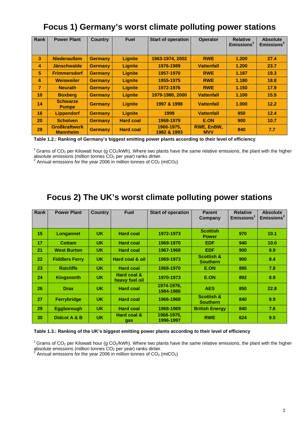# **Focus 1) Germany's worst climate polluting power stations**

| Rank            | <b>Power Plant</b>                      | <b>Country</b> | <b>Fuel</b>      | <b>Start of operation</b> | <b>Operator</b>          | <b>Relative</b><br>Emissions <sup>1</sup> | <b>Absolute</b><br>Emissions <sup>2</sup> |
|-----------------|-----------------------------------------|----------------|------------------|---------------------------|--------------------------|-------------------------------------------|-------------------------------------------|
| 3               | <b>Niederaußem</b>                      | <b>Germany</b> | <b>Lignite</b>   | 1963-1974, 2002           | <b>RWE</b>               | 1.200                                     | 27.4                                      |
| 4               | <b>Jänschwalde</b>                      | <b>Germany</b> | <b>Lignite</b>   | 1976-1989                 | <b>Vattenfall</b>        | 1.200                                     | 23.7                                      |
| 5               | <b>Frimmersdorf</b>                     | <b>Germany</b> | Lignite          | 1957-1970                 | <b>RWE</b>               | 1.187                                     | 19.3                                      |
| 6               | <b>Weisweiler</b>                       | <b>Germany</b> | Lignite          | 1955-1975                 | <b>RWE</b>               | 1.180                                     | 18.8                                      |
| $\overline{7}$  | <b>Neurath</b>                          | <b>Germany</b> | Lignite          | 1972-1976                 | <b>RWE</b>               | 1.150                                     | 17.9                                      |
| 10 <sup>1</sup> | <b>Boxberg</b>                          | <b>Germany</b> | Lignite          | 1979-1980, 2000           | <b>Vattenfall</b>        | 1.100                                     | 15.5                                      |
| 14              | <b>Schwarze</b><br><b>Pumpe</b>         | <b>Germany</b> | <b>Lignite</b>   | 1997 & 1998               | <b>Vattenfall</b>        | 1.000                                     | 12.2                                      |
| 16              | <b>Lippendorf</b>                       | <b>Germany</b> | Lignite          | 1999                      | <b>Vattenfall</b>        | 950                                       | 12.4                                      |
| 20              | <b>Scholven</b>                         | <b>Germany</b> | <b>Hard coal</b> | 1968-1979                 | E.ON                     | 900                                       | 10.7                                      |
| 28              | <b>Großkraftwerk</b><br><b>Mannheim</b> | <b>Germany</b> | <b>Hard coal</b> | 1966-1975,<br>1982 & 1993 | RWE, EnBW,<br><b>MVV</b> | 840                                       | 7.7                                       |

**Table 1.2.: Ranking of Germany's biggest emitting power plants according to their level of efficiency**

 $1$  Grams of CO<sub>2</sub> per Kilowatt hour (g CO<sub>2</sub>/kWh). Where two plants have the same relative emissions, the plant with the higher

absolute emissions (million tonnes CO<sub>2</sub> per year) ranks dirtier.<br><sup>2</sup> Annual emissions for the year 2006 in million tonnes of CO<sub>2</sub> (mtCO<sub>2</sub>)

## **Focus 2) The UK's worst climate polluting power stations**

| Rank | <b>Power Plant</b>    | <b>Country</b> | <b>Fuel</b>                   | <b>Start of operation</b> | <b>Parent</b>                            | <b>Relative</b>        | <b>Absolute</b>        |
|------|-----------------------|----------------|-------------------------------|---------------------------|------------------------------------------|------------------------|------------------------|
|      |                       |                |                               |                           | Company                                  | Emissions <sup>1</sup> | Emissions <sup>2</sup> |
|      |                       |                |                               |                           |                                          |                        |                        |
| 15   | Longannet             | <b>UK</b>      | <b>Hard coal</b>              | 1972-1973                 | <b>Scottish</b><br><b>Power</b>          | 970                    | 10.1                   |
| 17   | Cottam                | <b>UK</b>      | <b>Hard coal</b>              | 1969-1970                 | EDF.                                     | 940                    | 10.0                   |
| 21   | <b>West Burton</b>    | <b>UK</b>      | <b>Hard coal</b>              | 1967-1968                 | <b>EDF</b>                               | 900                    | 8.9                    |
| 22   | <b>Fiddlers Ferry</b> | <b>UK</b>      | Hard coal & oil               | 1969-1973                 | <b>Scottish &amp;</b><br><b>Southern</b> | 900                    | 8.4                    |
| 23   | <b>Ratcliffe</b>      | <b>UK</b>      | <b>Hard coal</b>              | 1968-1970                 | <b>E.ON</b>                              | 895                    | 7.8                    |
| 24   | <b>Kingsnorth</b>     | <b>UK</b>      | Hard coal &<br>heavy fuel oil | 1970-1973                 | E.ON                                     | 892                    | 8.9                    |
| 26   | <b>Drax</b>           | <b>UK</b>      | <b>Hard coal</b>              | 1974-1976.<br>1984-1986   | <b>AES</b>                               | 850                    | 22.8                   |
| 27   | <b>Ferrybridge</b>    | <b>UK</b>      | <b>Hard coal</b>              | 1966-1968                 | <b>Scottish &amp;</b><br><b>Southern</b> | 840                    | 8.9                    |
| 29   | <b>Eggborough</b>     | <b>UK</b>      | <b>Hard coal</b>              | 1968-1969                 | <b>British Energy</b>                    | 840                    | 7.6                    |
| 30   | Didcot A & B          | <b>UK</b>      | Hard coal &<br>gas            | 1968-1975,<br>1996-1997   | <b>RWE</b>                               | 624                    | 9.5                    |

### **Table 1.3.: Ranking of the UK's biggest emitting power plants according to their level of efficiency**

 $1$  Grams of CO<sub>2</sub> per Kilowatt hour (g CO<sub>2</sub>/kWh). Where two plants have the same relative emissions, the plant with the higher

absolute emissions (million tonnes CO<sub>2</sub> per year) ranks dirtier.<br><sup>2</sup> Annual emissions for the year 2006 in million tonnes of CO<sub>2</sub> (mtCO<sub>2</sub>)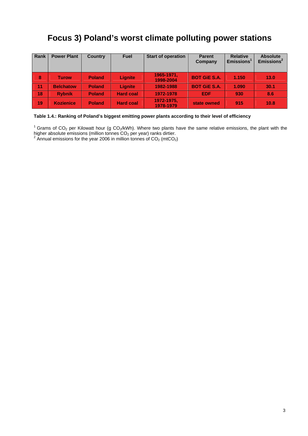# **Focus 3) Poland's worst climate polluting power stations**

| <b>Rank</b> | <b>Power Plant</b> | <b>Country</b> | <b>Fuel</b>      | <b>Start of operation</b> | <b>Parent</b><br>Company | <b>Relative</b><br>Emissions <sup>1</sup> | <b>Absolute</b><br>Emissions <sup>2</sup> |
|-------------|--------------------|----------------|------------------|---------------------------|--------------------------|-------------------------------------------|-------------------------------------------|
| 8           | <b>Turow</b>       | <b>Poland</b>  | Lignite          | 1965-1971.<br>1998-2004   | <b>BOT GIE S.A.</b>      | 1.150                                     | 13.0                                      |
| 11          | <b>Belchatow</b>   | <b>Poland</b>  | Lignite          | 1982-1988                 | <b>BOT GIE S.A.</b>      | 1.090                                     | 30.1                                      |
| 18          | <b>Rybnik</b>      | <b>Poland</b>  | <b>Hard coal</b> | 1972-1978                 | <b>EDF</b>               | 930                                       | 8.6                                       |
| 19          | <b>Kozienice</b>   | <b>Poland</b>  | <b>Hard coal</b> | 1972-1975,<br>1978-1979   | state owned              | 915                                       | 10.8                                      |

### **Table 1.4.: Ranking of Poland's biggest emitting power plants according to their level of efficiency**

<sup>1</sup> Grams of CO<sub>2</sub> per Kilowatt hour (g CO<sub>2</sub>/kWh). Where two plants have the same relative emissions, the plant with the higher absolute emissions (million tonnes CO<sub>2</sub> per year) ranks dirtier.<br><sup>2</sup> Annual emissions for the year 2006 in million tonnes of CO<sub>2</sub> (mtCO<sub>2</sub>)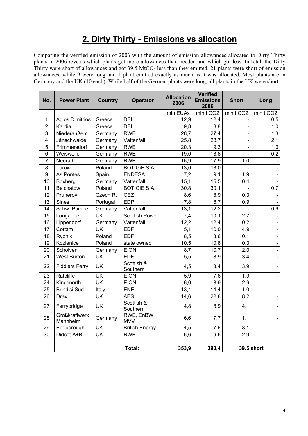# **2. Dirty Thirty - Emissions vs allocation**

Comparing the verified emission of 2006 with the amount of emission allowances allocated to Dirty Thirty plants in 2006 reveals which plants got more allowances than needed and which got less. In total, the Dirty Thirty were short of allowances and got  $39.5 \text{ MtCO}_2$  less than they emitted. 21 plants were short of emission allowances, while 9 were long and 1 plant emitted exactly as much as it was allocated. Most plants are in Germany and the UK (10 each). While half of the German plants were long, all plants in the UK were short.

| No.            | <b>Power Plant</b>               | <b>Country</b>           | <b>Operator</b>          | <b>Allocation</b><br>2006 | <b>Verified</b><br><b>Emissions</b><br>2006 | <b>Short</b>          | Long                     |
|----------------|----------------------------------|--------------------------|--------------------------|---------------------------|---------------------------------------------|-----------------------|--------------------------|
|                |                                  |                          |                          | mln EUAs                  | mln t CO <sub>2</sub>                       | mln t CO <sub>2</sub> | mln t CO <sub>2</sub>    |
| 1              | <b>Agios Dimitrios</b>           | Greece                   | <b>DEH</b>               | 12,9                      | 12,4                                        |                       | 0.5                      |
| $\mathbf{2}$   | Kardia                           | Greece                   | <b>DEH</b>               | 9,8                       | 8,8                                         |                       | 1.0                      |
| $\overline{3}$ | Niederaußem                      | Germany                  | <b>RWE</b>               | 28,7                      | 27,4                                        |                       | 1.3                      |
| $\overline{4}$ | Jänschwalde                      | Germany                  | Vattenfall               | 25,8                      | 23,7                                        |                       | 2.1                      |
| 5              | Frimmersdorf                     | Germany                  | <b>RWE</b>               | 20,3                      | 19,3                                        |                       | 1.0                      |
| 6              | Weisweiler                       | Germany                  | <b>RWE</b>               | 19,0                      | 18,8                                        |                       | 0.2                      |
| $\overline{7}$ | Neurath                          | Germany                  | <b>RWE</b>               | 16,9                      | 17,9                                        | 1.0                   |                          |
| 8              | Turow                            | Poland                   | <b>BOT GIE S.A.</b>      | 13,0                      | 13,0                                        |                       |                          |
| 9              | As Pontes                        | Spain                    | <b>ENDESA</b>            | 7,2                       | 9,1                                         | 1.9                   |                          |
| 10             | Boxberg                          | Germany                  | Vattenfall               | 15,1                      | 15,5                                        | 0.4                   |                          |
| 11             | Belchatow                        | Poland                   | <b>BOT GIE S.A.</b>      | 30,8                      | 30,1                                        |                       | 0.7                      |
| 12             | Prunerov                         | Czech R.                 | CEZ                      | 8,6                       | 8,9                                         | 0.3                   |                          |
| 13             | <b>Sines</b>                     | Portugal                 | <b>EDP</b>               | 7,8                       | 8,7                                         | 0.9                   |                          |
| 14             | Schw. Pumpe                      | Germany                  | Vattenfall               | 13,1                      | 12,2                                        |                       | 0.9                      |
| 15             | Longannet                        | <b>UK</b>                | <b>Scottish Power</b>    | 7,4                       | 10,1                                        | 2.7                   |                          |
| 16             | Lippendorf                       | Germany                  | Vattenfall               | 12,2                      | 12,4                                        | 0.2                   |                          |
| 17             | Cottam                           | <b>UK</b>                | <b>EDF</b>               | 5,1                       | 10,0                                        | 4.9                   | $\blacksquare$           |
| 18             | Rybnik                           | Poland                   | <b>EDF</b>               | 8,5                       | 8,6                                         | 0.1                   | $\blacksquare$           |
| 19             | Kozienice                        | Poland                   | state owned              | 10,5                      | 10,8                                        | 0.3                   | $\blacksquare$           |
| 20             | Scholven                         | Germany                  | E.ON                     | 8,7                       | 10,7                                        | 2.0                   |                          |
| 21             | <b>West Burton</b>               | <b>UK</b>                | <b>EDF</b>               | 5,5                       | 8,9                                         | 3.4                   | $\blacksquare$           |
| 22             | <b>Fiddlers Ferry</b>            | <b>UK</b>                | Scottish &<br>Southern   | 4,5                       | 8,4                                         | 3.9                   | $\overline{\phantom{0}}$ |
| 23             | Ratcliffe                        | <b>UK</b>                | E.ON                     | 5,9                       | 7,8                                         | 1.9                   |                          |
| 24             | Kingsnorth                       | $\overline{\mathsf{UK}}$ | E.ON                     | 6,0                       | 8,9                                         | 2.9                   | $\blacksquare$           |
| 25             | <b>Brindisi Sud</b>              | Italy                    | <b>ENEL</b>              | 13,4                      | 14,4                                        | 1.0                   | $\blacksquare$           |
| 26             | Drax                             | <b>UK</b>                | <b>AES</b>               | 14,6                      | 22,8                                        | 8.2                   | $\blacksquare$           |
| 27             | Ferrybridge                      | <b>UK</b>                | Scottish &<br>Southern   | 4,8                       | 8,9                                         | 4.1                   |                          |
| 28             | <b>Großkraftwerk</b><br>Mannheim | Germany                  | RWE, EnBW,<br><b>MVV</b> | 6,6                       | 7,7                                         | 1.1                   |                          |
| 29             | Eggborough                       | <b>UK</b>                | <b>British Energy</b>    | 4,5                       | 7,6                                         | 3.1                   |                          |
| 30             | Didcot A+B                       | <b>UK</b>                | <b>RWE</b>               | 6,6                       | 9,5                                         | 2.9                   |                          |
|                |                                  |                          |                          |                           |                                             |                       |                          |
|                |                                  |                          | <b>Total:</b>            | 353,9                     | 393,4                                       |                       | <b>39.5 short</b>        |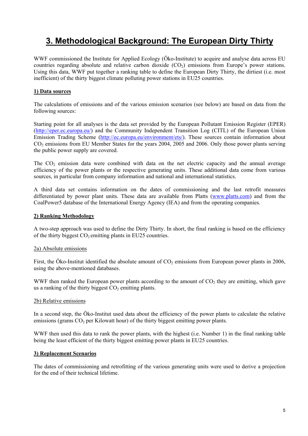# **3. Methodological Background: The European Dirty Thirty**

WWF commissioned the Institute for Applied Ecology (Öko-Institute) to acquire and analyse data across EU countries regarding absolute and relative carbon dioxide  $(CO<sub>2</sub>)$  emissions from Europe's power stations. Using this data, WWF put together a ranking table to define the European Dirty Thirty, the dirtiest (i.e. most inefficient) of the thirty biggest climate polluting power stations in EU25 countries.

### **1) Data sources**

The calculations of emissions and of the various emission scenarios (see below) are based on data from the following sources:

Starting point for all analyses is the data set provided by the European Pollutant Emission Register (EPER) (http://eper.ec.europa.eu/) and the Community Independent Transition Log (CITL) of the European Union Emission Trading Scheme (http://ec.europa.eu/environment/ets/). These sources contain information about CO<sub>2</sub> emissions from EU Member States for the years 2004, 2005 and 2006. Only those power plants serving the public power supply are covered.

The  $CO<sub>2</sub>$  emission data were combined with data on the net electric capacity and the annual average efficiency of the power plants or the respective generating units. These additional data come from various sources, in particular from company information and national and international statistics.

A third data set contains information on the dates of commissioning and the last retrofit measures differentiated by power plant units. These data are available from Platts (www.platts.com) and from the CoalPower5 database of the International Energy Agency (IEA) and from the operating companies.

### **2) Ranking Methodology**

A two-step approach was used to define the Dirty Thirty. In short, the final ranking is based on the efficiency of the thirty biggest  $CO<sub>2</sub>$  emitting plants in EU25 countries.

### 2a) Absolute emissions

First, the Öko-Institut identified the absolute amount of  $CO<sub>2</sub>$  emissions from European power plants in 2006, using the above-mentioned databases.

WWF then ranked the European power plants according to the amount of  $CO<sub>2</sub>$  they are emitting, which gave us a ranking of the thirty biggest  $CO<sub>2</sub>$  emitting plants.

### 2b) Relative emissions

In a second step, the Öko-Institut used data about the efficiency of the power plants to calculate the relative emissions (grams  $CO<sub>2</sub>$  per Kilowatt hour) of the thirty biggest emitting power plants.

WWF then used this data to rank the power plants, with the highest (i.e. Number 1) in the final ranking table being the least efficient of the thirty biggest emitting power plants in EU25 countries.

### **3) Replacement Scenarios**

The dates of commissioning and retrofitting of the various generating units were used to derive a projection for the end of their technical lifetime.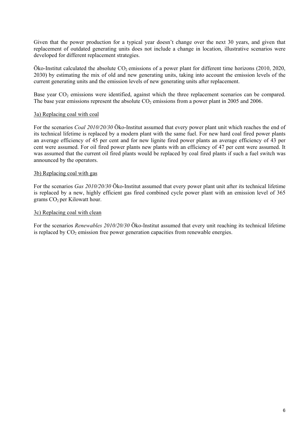Given that the power production for a typical year doesn't change over the next 30 years, and given that replacement of outdated generating units does not include a change in location, illustrative scenarios were developed for different replacement strategies.

Öko-Institut calculated the absolute  $CO_2$  emissions of a power plant for different time horizons (2010, 2020, 2030) by estimating the mix of old and new generating units, taking into account the emission levels of the current generating units and the emission levels of new generating units after replacement.

Base year  $CO<sub>2</sub>$  emissions were identified, against which the three replacement scenarios can be compared. The base year emissions represent the absolute  $CO<sub>2</sub>$  emissions from a power plant in 2005 and 2006.

### 3a) Replacing coal with coal

For the scenarios *Coal 2010/20/30* Öko-Institut assumed that every power plant unit which reaches the end of its technical lifetime is replaced by a modern plant with the same fuel. For new hard coal fired power plants an average efficiency of 45 per cent and for new lignite fired power plants an average efficiency of 43 per cent were assumed. For oil fired power plants new plants with an efficiency of 47 per cent were assumed. It was assumed that the current oil fired plants would be replaced by coal fired plants if such a fuel switch was announced by the operators.

### 3b) Replacing coal with gas

For the scenarios *Gas 2010/20/30* Öko-Institut assumed that every power plant unit after its technical lifetime is replaced by a new, highly efficient gas fired combined cycle power plant with an emission level of 365 grams  $CO<sub>2</sub>$  per Kilowatt hour.

### 3c) Replacing coal with clean

For the scenarios *Renewables 2010/20/30* Öko-Institut assumed that every unit reaching its technical lifetime is replaced by  $CO<sub>2</sub>$  emission free power generation capacities from renewable energies.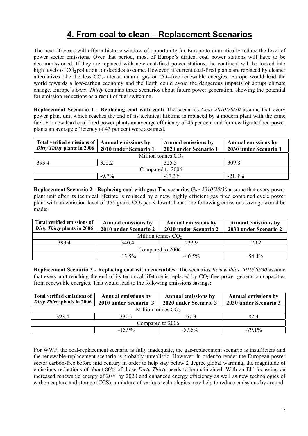# **4. From coal to clean – Replacement Scenarios**

The next 20 years will offer a historic window of opportunity for Europe to dramatically reduce the level of power sector emissions. Over that period, most of Europe's dirtiest coal power stations will have to be decommissioned. If they are replaced with new coal-fired power stations, the continent will be locked into high levels of CO<sub>2</sub> pollution for decades to come. However, if current coal-fired plants are replaced by cleaner alternatives like the less  $CO_2$ -intense natural gas or  $CO_2$ -free renewable energies, Europe would lead the world towards a low-carbon economy and the Earth could avoid the dangerous impacts of abrupt climate change. Europe's *Dirty Thirty* contains three scenarios about future power generation, showing the potential for emission reductions as a result of fuel switching.

**Replacement Scenario 1 - Replacing coal with coal:** The scenarios *Coal 2010/20/30* assume that every power plant unit which reaches the end of its technical lifetime is replaced by a modern plant with the same fuel. For new hard coal fired power plants an average efficiency of 45 per cent and for new lignite fired power plants an average efficiency of 43 per cent were assumed.

| <b>Total verified emissions of</b><br>Dirty Thirty plants in 2006 | <b>Annual emissions by</b><br>2010 under Scenario 1 | <b>Annual emissions by</b><br>2020 under Scenario 1 | <b>Annual emissions by</b><br>2030 under Scenario 1 |
|-------------------------------------------------------------------|-----------------------------------------------------|-----------------------------------------------------|-----------------------------------------------------|
|                                                                   |                                                     |                                                     |                                                     |
|                                                                   |                                                     | Million tonnes $CO2$                                |                                                     |
| 393.4                                                             | 355.2                                               | 325.5                                               | 309.8                                               |
|                                                                   |                                                     | Compared to 2006                                    |                                                     |
|                                                                   | $-97\%$                                             | $-17.3\%$                                           | $-21.3\%$                                           |

**Replacement Scenario 2 - Replacing coal with gas:** The scenarios *Gas 2010/20/30* assume that every power plant unit after its technical lifetime is replaced by a new, highly efficient gas fired combined cycle power plant with an emission level of 365 grams  $CO<sub>2</sub>$  per Kilowatt hour. The following emissions savings would be made:

| Total verified emissions of<br>Dirty Thirty plants in 2006 | <b>Annual emissions by</b><br>2010 under Scenario 2 | <b>Annual emissions by</b><br>2020 under Scenario 2 | <b>Annual emissions by</b><br>2030 under Scenario 2 |
|------------------------------------------------------------|-----------------------------------------------------|-----------------------------------------------------|-----------------------------------------------------|
|                                                            | Million tonnes $CO2$                                |                                                     |                                                     |
| 3934                                                       | 340.4                                               | 2339                                                | 179 2                                               |
|                                                            |                                                     | Compared to 2006                                    |                                                     |
|                                                            | $-13.5\%$                                           | $-40.5\%$                                           | $-54.4\%$                                           |

**Replacement Scenario 3 - Replacing coal with renewables:** The scenarios *Renewables 2010/20/30* assume that every unit reaching the end of its technical lifetime is replaced by  $CO<sub>2</sub>$ -free power generation capacities from renewable energies. This would lead to the following emissions savings:

| Total verified emissions of<br>Dirty Thirty plants in 2006 | <b>Annual emissions by</b><br>2010 under Scenario 3 | <b>Annual emissions by</b><br>2020 under Scenario 3 | <b>Annual emissions by</b><br>2030 under Scenario 3 |
|------------------------------------------------------------|-----------------------------------------------------|-----------------------------------------------------|-----------------------------------------------------|
|                                                            | Million tonnes $CO2$                                |                                                     |                                                     |
| 393.4                                                      | 330.7                                               | 1673                                                | 82.4                                                |
|                                                            |                                                     | Compared to 2006                                    |                                                     |
|                                                            | $-15.9\%$                                           | $-57.5\%$                                           | $-791\%$                                            |

For WWF, the coal-replacement scenario is fully inadequate, the gas-replacement scenario is insufficient and the renewable-replacement scenario is probably unrealistic. However, in order to render the European power sector carbon-free before mid century in order to help stay below 2 degree global warming, the magnitude of emissions reductions of about 80% of those *Dirty Thirty* needs to be maintained. With an EU focussing on increased renewable energy of 20% by 2020 and enhanced energy efficiency as well as new technologies of carbon capture and storage (CCS), a mixture of various technologies may help to reduce emissions by around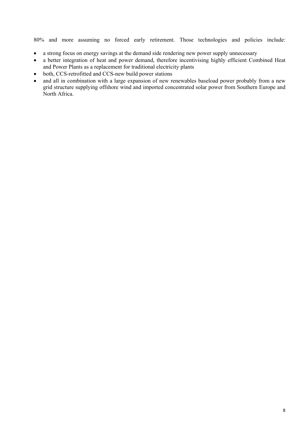80% and more assuming no forced early retirement. Those technologies and policies include:

- a strong focus on energy savings at the demand side rendering new power supply unnecessary
- a better integration of heat and power demand, therefore incentivising highly efficient Combined Heat and Power Plants as a replacement for traditional electricity plants
- both, CCS-retrofitted and CCS-new build power stations
- and all in combination with a large expansion of new renewables baseload power probably from a new grid structure supplying offshore wind and imported concentrated solar power from Southern Europe and North Africa.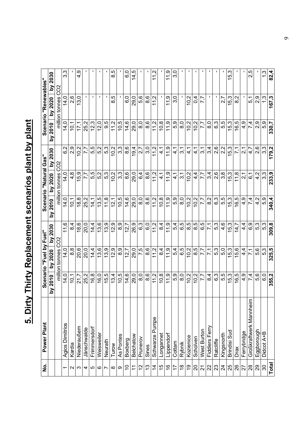# 5. Dirty Thirty Replacement scenarios plant by plant **5. Dirty Thirty Replacement scenarios plant by plant**

| .<br>ع                  | Power Plant                         |               | Scenario "Fuel by Fuel" |                   |                     | Scenario "Natural Gas" |                          |                     | Scenario "Renewables"           |                               |
|-------------------------|-------------------------------------|---------------|-------------------------|-------------------|---------------------|------------------------|--------------------------|---------------------|---------------------------------|-------------------------------|
|                         |                                     | by 2010       | by 2020                 | by 2030           | 2010<br>λq          | by 2020                | by 2030                  | by 2010             | by 2020                         | by 2030                       |
|                         |                                     |               | million tonnes CO2      |                   |                     | million tonnes CO2     |                          |                     | million tonnes                  | CO <sub>2</sub>               |
| ᠇                       | Agios Dimitrios                     | 14.0          | 14.0                    | 11,6              | 14.0                | 14.0                   | ų<br>ؘڡ                  | 14.0                | 14.0                            | 3,3                           |
| $\mathbf{\Omega}$       | Kardia                              | Ö,            | $\infty$<br>ထ           | 4<br>ထ            | 10.1                | $\infty$<br>4.         | 2,9                      | Ś.                  | $\circ$<br>$\mathbf{\tilde{v}}$ |                               |
| S                       | Niederaußem                         | Ņ<br>21       | 20,6                    | ဖ<br><u>ю́</u>    | 18,8                | တ<br>ທ່                | 0.2                      | iz.                 | 0<br>က                          | $\frac{9}{4}$                 |
| 4                       | Jänschwalde                         | 25,2          | 20,0                    | 20,0              | 25,2                | 7,7                    | 7,7                      | Ν<br>25,            |                                 |                               |
| 5                       | Frimmersdorf                        | 16,8          | 14.4                    | 14,4              | 14,1                | 5,5                    | 5,5                      | 12,3                | I.                              |                               |
| $\circ$                 | Weisweiler                          | 16.0          | 13,6                    | 13,6              | 13.5                | 5.2                    | 5.2                      | 12.0                | $\mathbf I$                     | п                             |
| $\overline{ }$          | Neurath                             | 15,5          | 13,9                    | 13,9              | 11,8                | 5,3                    | 5,3                      | 9.5                 | $\blacksquare$                  |                               |
| $\infty$                | Turow                               | 13,4          | 12,9                    | 12,9              | 121                 | 10.2                   | 0.2                      | 11,2                | 8,5                             | 8.5                           |
| თ                       | As Pontes                           | 10,5          | 8.9                     | တ<br>ထ            | 10,5                | 3,3                    | 3,3                      | 10,5                |                                 |                               |
| S                       | Boxberg                             | 14,6          | 12,7                    | 12,7              | 14,6                | 8,6                    | 8,6                      | 14,6                | 6,0                             | o.o                           |
| $\tilde{\tau}$          | Belchatow                           | 29,0          | 29,0                    | 26,9              | 29,0                | 29,0                   | 19.4                     | 29,0                | 29,0                            | 14,5                          |
| 57                      | Prunerov                            | $\frac{0}{8}$ | 7.5                     | 6,3               | 8.0                 | 64                     | 2,7                      | 8.0                 | 5,6                             |                               |
| <u>ლ</u>                | Sines                               | 8,6           | 8,6                     | $\overline{6}$ .0 | 8.6                 | 8.6                    | 3.0                      | 8.6                 | 8.6                             |                               |
| $\overline{4}$          | Schwarze Pumpe                      | 11,2          | 11,2                    | 11.2              | Ņ<br>$\overline{1}$ | $\frac{2}{11}$         | $\frac{2}{1}$            | 11.2                | $\frac{2}{1}$                   | Ņ<br>$\overline{\phantom{0}}$ |
| $\frac{5}{1}$           | Longannet                           | 10, 8         | 4<br>ထ                  | 4<br>ထ            | 10.8                | ý                      | ᡪ<br>4.                  | 10.8                |                                 |                               |
| $\frac{6}{1}$           | Lippendorf                          | 11,9          | 11,9                    | 11.9              | 11.9                | 11,9                   | 11.9                     | 11,9                | 11.9                            | 11.9                          |
| 17                      | Cottam                              | 5,9           | 5,4                     | 5,4               | 5,9                 | प<br>प                 | $\frac{1}{4}$            | 5,9                 | 3,0                             | 3,0                           |
| $\frac{8}{1}$           | Rybnik                              | $\frac{0}{8}$ | 6.5                     | 6.5               | $\frac{0}{8}$       | 3.1                    | ↽<br>က်                  | $\frac{0}{8}$       | $\mathbf I$                     |                               |
| စ္                      | Kozienice                           | 10.2          | 10.2                    | 8.5               | 10.2                | 10.2                   | ↽<br>न्                  | 10.2                | Ņ<br>Ó.                         |                               |
| $\Omega$                | Scholven                            | 10.2          | 8,5                     | ю<br>ထ            | 10.2                | $\frac{4}{1}$          | ↽<br>्रं                 | 10.2                | 4<br>Ö                          |                               |
| $\overline{\mathbf{2}}$ | West Burton                         | 7,7           | 7,7                     | 6,5               | 7.7                 | 7,7                    | ᡪ<br>က်                  | 7,7                 | 7,7                             | п                             |
| 22                      | Fiddlers Ferry                      | 8,4           | 7,1                     | $\overline{7}$ 1  | 8.2                 | 3,4                    | 3,4                      | 8,0                 | $\blacksquare$                  | п                             |
| 23                      | Ratcliffe                           | 6.3           | 5,3                     | 5.3               | <b>ვ.</b>           | 2.6                    | 2,6                      | 6.3                 | $\mathbf I$                     |                               |
| $\overline{24}$         | Kingsnorth                          | 5.5           | 5,0                     | 4.6               | 5.5                 | 3.8                    | 2,2                      | 5,5                 | 2.7                             |                               |
| 25                      | <b>Brindisi Sud</b>                 | 15.3          | 15.3                    | 15.3              | S<br>$\frac{15}{3}$ | 5.3                    | 5.3                      | 5.3                 | က္<br>15.                       | 15,3                          |
| 26                      | Drax                                | $\frac{6}{6}$ | $\circ$<br>ເດ່          | 14,7              | Ю<br><u>(6</u>      | $\frac{8}{1}$          | $\overline{71}$          | Ю<br>$\overline{6}$ | Ν<br>ထ                          |                               |
| 27                      | Ferrybridge                         | 4,9           | 4.<br>4                 | 4<br>4.           | တ<br>4.             | 2,1                    | $\overline{\mathcal{N}}$ | თ<br>₹              |                                 |                               |
| $^{28}$                 | $\subset$<br>Großkraftwerk Mannhein | 7.4           | $\overline{7}$          | 6,9               | 7,4                 | $\overline{6}$         | 4,7                      | 7,4                 | ↽<br>5,1                        | ю<br>$\mathcal{L}$            |
| 29                      | Eggborough                          | 5.6           | 5,6                     | 5.3               | 4.2                 | $\frac{2}{4}$          | 2.6                      | 2.9                 | 2.9                             |                               |
| $\infty$                | Didcot A+B                          | o.o           | 5,3                     | 5.3               | 5.9                 | 33                     | 33                       | 5.9                 | 1.3                             | $1\overline{3}$               |
| Total                   |                                     | 355,2         | 325,5                   | 309,8             | 340,4               | 233,9                  | 179,2                    | 330,7               | 167,3                           | 82,4                          |